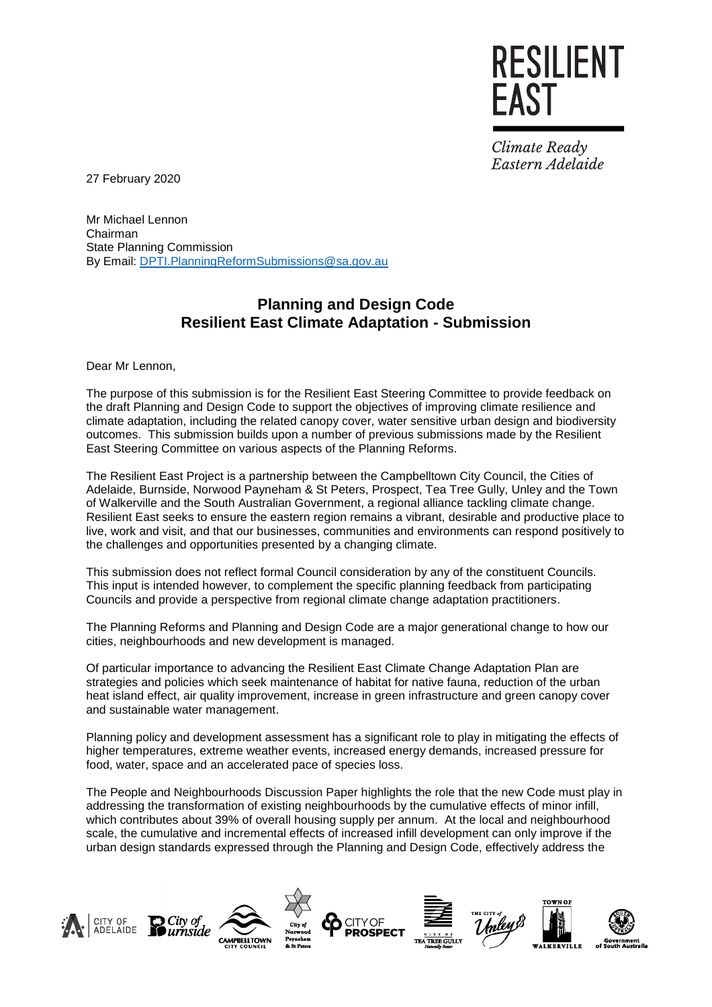Climate Ready Eastern Adelaide

**EAST** 

RESILIENT

27 February 2020

Mr Michael Lennon Chairman State Planning Commission By Email: [DPTI.PlanningReformSubmissions@sa.gov.au](mailto:DPTI.PlanningReformSubmissions@sa.gov.au)

#### **Planning and Design Code Resilient East Climate Adaptation - Submission**

Dear Mr Lennon,

The purpose of this submission is for the Resilient East Steering Committee to provide feedback on the draft Planning and Design Code to support the objectives of improving climate resilience and climate adaptation, including the related canopy cover, water sensitive urban design and biodiversity outcomes. This submission builds upon a number of previous submissions made by the Resilient East Steering Committee on various aspects of the Planning Reforms.

The Resilient East Project is a partnership between the Campbelltown City Council, the Cities of Adelaide, Burnside, Norwood Payneham & St Peters, Prospect, Tea Tree Gully, Unley and the Town of Walkerville and the South Australian Government, a regional alliance tackling climate change. Resilient East seeks to ensure the eastern region remains a vibrant, desirable and productive place to live, work and visit, and that our businesses, communities and environments can respond positively to the challenges and opportunities presented by a changing climate.

This submission does not reflect formal Council consideration by any of the constituent Councils. This input is intended however, to complement the specific planning feedback from participating Councils and provide a perspective from regional climate change adaptation practitioners.

The Planning Reforms and Planning and Design Code are a major generational change to how our cities, neighbourhoods and new development is managed.

Of particular importance to advancing the Resilient East Climate Change Adaptation Plan are strategies and policies which seek maintenance of habitat for native fauna, reduction of the urban heat island effect, air quality improvement, increase in green infrastructure and green canopy cover and sustainable water management.

Planning policy and development assessment has a significant role to play in mitigating the effects of higher temperatures, extreme weather events, increased energy demands, increased pressure for food, water, space and an accelerated pace of species loss.

The People and Neighbourhoods Discussion Paper highlights the role that the new Code must play in addressing the transformation of existing neighbourhoods by the cumulative effects of minor infill, which contributes about 39% of overall housing supply per annum. At the local and neighbourhood scale, the cumulative and incremental effects of increased infill development can only improve if the urban design standards expressed through the Planning and Design Code, effectively address the

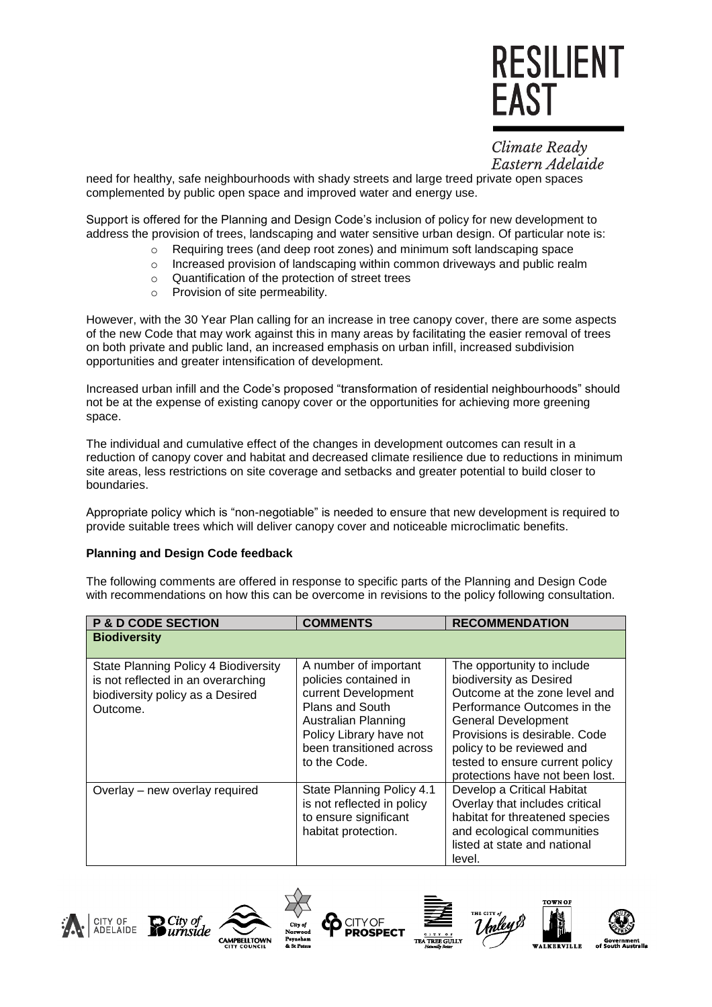Climate Ready Eastern Adelaide

need for healthy, safe neighbourhoods with shady streets and large treed private open spaces complemented by public open space and improved water and energy use.

Support is offered for the Planning and Design Code's inclusion of policy for new development to address the provision of trees, landscaping and water sensitive urban design. Of particular note is:

- o Requiring trees (and deep root zones) and minimum soft landscaping space
- o Increased provision of landscaping within common driveways and public realm
- o Quantification of the protection of street trees
- o Provision of site permeability.

However, with the 30 Year Plan calling for an increase in tree canopy cover, there are some aspects of the new Code that may work against this in many areas by facilitating the easier removal of trees on both private and public land, an increased emphasis on urban infill, increased subdivision opportunities and greater intensification of development.

Increased urban infill and the Code's proposed "transformation of residential neighbourhoods" should not be at the expense of existing canopy cover or the opportunities for achieving more greening space.

The individual and cumulative effect of the changes in development outcomes can result in a reduction of canopy cover and habitat and decreased climate resilience due to reductions in minimum site areas, less restrictions on site coverage and setbacks and greater potential to build closer to boundaries.

Appropriate policy which is "non-negotiable" is needed to ensure that new development is required to provide suitable trees which will deliver canopy cover and noticeable microclimatic benefits.

#### **Planning and Design Code feedback**

The following comments are offered in response to specific parts of the Planning and Design Code with recommendations on how this can be overcome in revisions to the policy following consultation.

| <b>P &amp; D CODE SECTION</b>                                                                                              | <b>COMMENTS</b>                                                                                                                                                                               | <b>RECOMMENDATION</b>                                                                                                                                                                                                                                                                   |
|----------------------------------------------------------------------------------------------------------------------------|-----------------------------------------------------------------------------------------------------------------------------------------------------------------------------------------------|-----------------------------------------------------------------------------------------------------------------------------------------------------------------------------------------------------------------------------------------------------------------------------------------|
| <b>Biodiversity</b>                                                                                                        |                                                                                                                                                                                               |                                                                                                                                                                                                                                                                                         |
| State Planning Policy 4 Biodiversity<br>is not reflected in an overarching<br>biodiversity policy as a Desired<br>Outcome. | A number of important<br>policies contained in<br>current Development<br>Plans and South<br><b>Australian Planning</b><br>Policy Library have not<br>been transitioned across<br>to the Code. | The opportunity to include<br>biodiversity as Desired<br>Outcome at the zone level and<br>Performance Outcomes in the<br><b>General Development</b><br>Provisions is desirable. Code<br>policy to be reviewed and<br>tested to ensure current policy<br>protections have not been lost. |
| Overlay - new overlay required                                                                                             | State Planning Policy 4.1<br>is not reflected in policy<br>to ensure significant<br>habitat protection.                                                                                       | Develop a Critical Habitat<br>Overlay that includes critical<br>habitat for threatened species<br>and ecological communities<br>listed at state and national<br>level.                                                                                                                  |

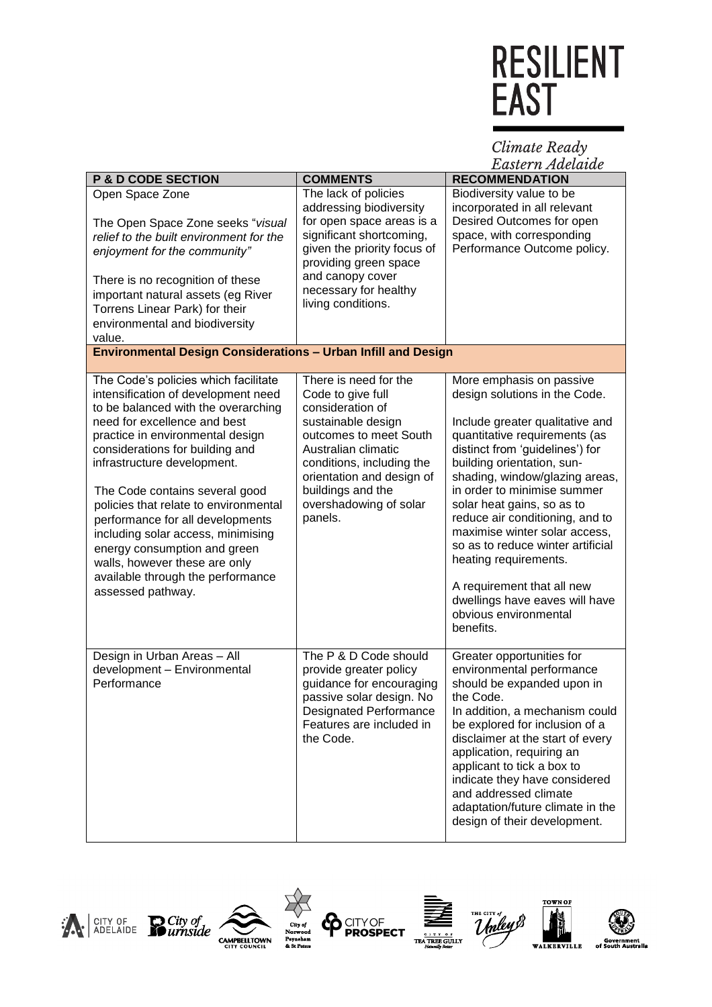#### Climate Ready<br>Eastern Adelaide

|                                                                      |                               | пизнен плиениние                  |
|----------------------------------------------------------------------|-------------------------------|-----------------------------------|
| <b>P &amp; D CODE SECTION</b>                                        | <b>COMMENTS</b>               | <b>RECOMMENDATION</b>             |
| Open Space Zone                                                      | The lack of policies          | Biodiversity value to be          |
|                                                                      | addressing biodiversity       | incorporated in all relevant      |
| The Open Space Zone seeks "visual                                    | for open space areas is a     | Desired Outcomes for open         |
| relief to the built environment for the                              | significant shortcoming,      | space, with corresponding         |
| enjoyment for the community"                                         | given the priority focus of   | Performance Outcome policy.       |
|                                                                      | providing green space         |                                   |
| There is no recognition of these                                     | and canopy cover              |                                   |
| important natural assets (eg River                                   | necessary for healthy         |                                   |
|                                                                      | living conditions.            |                                   |
| Torrens Linear Park) for their                                       |                               |                                   |
| environmental and biodiversity                                       |                               |                                   |
| value.                                                               |                               |                                   |
| <b>Environmental Design Considerations - Urban Infill and Design</b> |                               |                                   |
| The Code's policies which facilitate                                 | There is need for the         | More emphasis on passive          |
| intensification of development need                                  | Code to give full             | design solutions in the Code.     |
| to be balanced with the overarching                                  | consideration of              |                                   |
| need for excellence and best                                         | sustainable design            | Include greater qualitative and   |
| practice in environmental design                                     | outcomes to meet South        | quantitative requirements (as     |
| considerations for building and                                      | Australian climatic           | distinct from 'guidelines') for   |
| infrastructure development.                                          | conditions, including the     | building orientation, sun-        |
|                                                                      | orientation and design of     | shading, window/glazing areas,    |
| The Code contains several good                                       | buildings and the             | in order to minimise summer       |
| policies that relate to environmental                                | overshadowing of solar        | solar heat gains, so as to        |
| performance for all developments                                     | panels.                       | reduce air conditioning, and to   |
| including solar access, minimising                                   |                               | maximise winter solar access,     |
| energy consumption and green                                         |                               | so as to reduce winter artificial |
| walls, however these are only                                        |                               | heating requirements.             |
| available through the performance                                    |                               |                                   |
| assessed pathway.                                                    |                               | A requirement that all new        |
|                                                                      |                               | dwellings have eaves will have    |
|                                                                      |                               | obvious environmental             |
|                                                                      |                               | benefits.                         |
|                                                                      |                               |                                   |
| Design in Urban Areas - All                                          | The P & D Code should         | Greater opportunities for         |
| development - Environmental                                          | provide greater policy        | environmental performance         |
| Performance                                                          | guidance for encouraging      | should be expanded upon in        |
|                                                                      | passive solar design. No      | the Code.                         |
|                                                                      | <b>Designated Performance</b> | In addition, a mechanism could    |
|                                                                      | Features are included in      | be explored for inclusion of a    |
|                                                                      | the Code.                     | disclaimer at the start of every  |
|                                                                      |                               | application, requiring an         |
|                                                                      |                               | applicant to tick a box to        |
|                                                                      |                               | indicate they have considered     |
|                                                                      |                               | and addressed climate             |
|                                                                      |                               | adaptation/future climate in the  |
|                                                                      |                               | design of their development.      |
|                                                                      |                               |                                   |







**ADIE** 

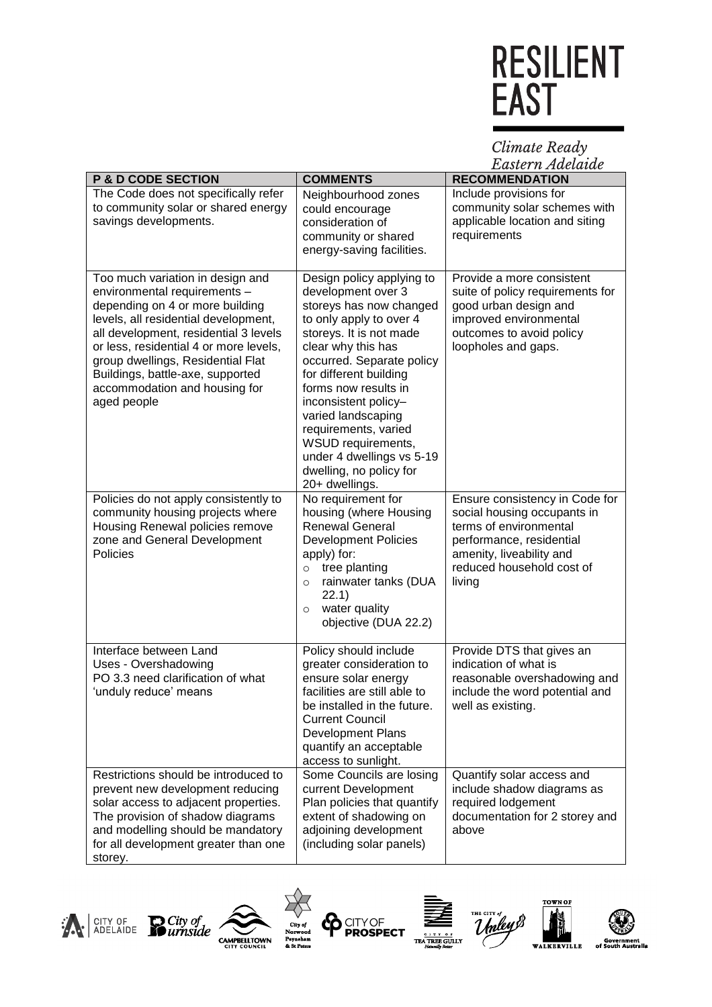Climate Ready<br>Eastern Adelaide

| <b>P &amp; D CODE SECTION</b>                                                                                                                                                                                                                                                                                                                           | <b>COMMENTS</b>                                                                                                                                                                                                                                                                                                                                                                                             | <b>RECOMMENDATION</b>                                                                                                                                                                  |
|---------------------------------------------------------------------------------------------------------------------------------------------------------------------------------------------------------------------------------------------------------------------------------------------------------------------------------------------------------|-------------------------------------------------------------------------------------------------------------------------------------------------------------------------------------------------------------------------------------------------------------------------------------------------------------------------------------------------------------------------------------------------------------|----------------------------------------------------------------------------------------------------------------------------------------------------------------------------------------|
| The Code does not specifically refer<br>to community solar or shared energy<br>savings developments.                                                                                                                                                                                                                                                    | Neighbourhood zones<br>could encourage<br>consideration of<br>community or shared<br>energy-saving facilities.                                                                                                                                                                                                                                                                                              | Include provisions for<br>community solar schemes with<br>applicable location and siting<br>requirements                                                                               |
| Too much variation in design and<br>environmental requirements -<br>depending on 4 or more building<br>levels, all residential development,<br>all development, residential 3 levels<br>or less, residential 4 or more levels,<br>group dwellings, Residential Flat<br>Buildings, battle-axe, supported<br>accommodation and housing for<br>aged people | Design policy applying to<br>development over 3<br>storeys has now changed<br>to only apply to over 4<br>storeys. It is not made<br>clear why this has<br>occurred. Separate policy<br>for different building<br>forms now results in<br>inconsistent policy-<br>varied landscaping<br>requirements, varied<br>WSUD requirements,<br>under 4 dwellings vs 5-19<br>dwelling, no policy for<br>20+ dwellings. | Provide a more consistent<br>suite of policy requirements for<br>good urban design and<br>improved environmental<br>outcomes to avoid policy<br>loopholes and gaps.                    |
| Policies do not apply consistently to<br>community housing projects where<br>Housing Renewal policies remove<br>zone and General Development<br>Policies                                                                                                                                                                                                | No requirement for<br>housing (where Housing<br><b>Renewal General</b><br><b>Development Policies</b><br>apply) for:<br>tree planting<br>$\circ$<br>rainwater tanks (DUA<br>$\circ$<br>22.1)<br>water quality<br>$\circ$<br>objective (DUA 22.2)                                                                                                                                                            | Ensure consistency in Code for<br>social housing occupants in<br>terms of environmental<br>performance, residential<br>amenity, liveability and<br>reduced household cost of<br>living |
| Interface between Land<br>Uses - Overshadowing<br>PO 3.3 need clarification of what<br>'unduly reduce' means                                                                                                                                                                                                                                            | Policy should include<br>greater consideration to<br>ensure solar energy<br>facilities are still able to<br>be installed in the future.<br><b>Current Council</b><br><b>Development Plans</b><br>quantify an acceptable<br>access to sunlight.                                                                                                                                                              | Provide DTS that gives an<br>indication of what is<br>reasonable overshadowing and<br>include the word potential and<br>well as existing.                                              |
| Restrictions should be introduced to<br>prevent new development reducing<br>solar access to adjacent properties.<br>The provision of shadow diagrams<br>and modelling should be mandatory<br>for all development greater than one<br>storey.                                                                                                            | Some Councils are losing<br>current Development<br>Plan policies that quantify<br>extent of shadowing on<br>adjoining development<br>(including solar panels)                                                                                                                                                                                                                                               | Quantify solar access and<br>include shadow diagrams as<br>required lodgement<br>documentation for 2 storey and<br>above                                                               |













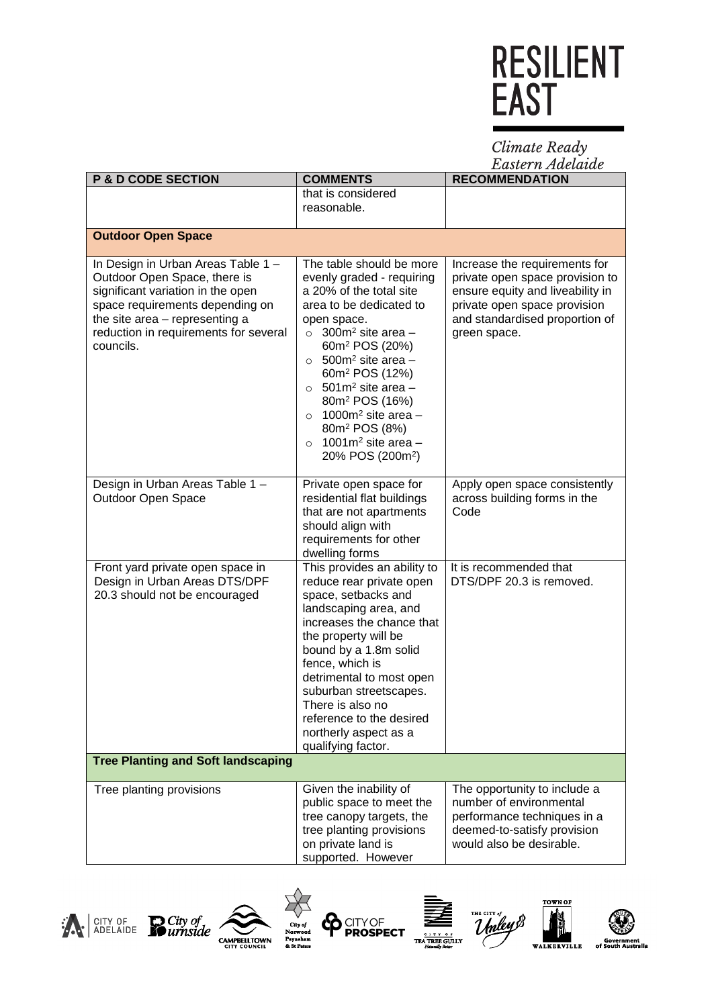Climate Ready<br>Eastern Adelaide

| <b>P &amp; D CODE SECTION</b>                                                                                                                                                                                                      | <b>COMMENTS</b>                                                                                                                                                                                                                                                                                                                                                                                                                                                                      | <b>RECOMMENDATION</b>                                                                                                                                                                  |
|------------------------------------------------------------------------------------------------------------------------------------------------------------------------------------------------------------------------------------|--------------------------------------------------------------------------------------------------------------------------------------------------------------------------------------------------------------------------------------------------------------------------------------------------------------------------------------------------------------------------------------------------------------------------------------------------------------------------------------|----------------------------------------------------------------------------------------------------------------------------------------------------------------------------------------|
|                                                                                                                                                                                                                                    | that is considered                                                                                                                                                                                                                                                                                                                                                                                                                                                                   |                                                                                                                                                                                        |
|                                                                                                                                                                                                                                    | reasonable.                                                                                                                                                                                                                                                                                                                                                                                                                                                                          |                                                                                                                                                                                        |
| <b>Outdoor Open Space</b>                                                                                                                                                                                                          |                                                                                                                                                                                                                                                                                                                                                                                                                                                                                      |                                                                                                                                                                                        |
| In Design in Urban Areas Table 1 -<br>Outdoor Open Space, there is<br>significant variation in the open<br>space requirements depending on<br>the site area - representing a<br>reduction in requirements for several<br>councils. | The table should be more<br>evenly graded - requiring<br>a 20% of the total site<br>area to be dedicated to<br>open space.<br>$\circ$ 300m <sup>2</sup> site area -<br>60m <sup>2</sup> POS (20%)<br>$\circ$ 500m <sup>2</sup> site area -<br>60m <sup>2</sup> POS (12%)<br>$\circ$ 501m <sup>2</sup> site area -<br>80m <sup>2</sup> POS (16%)<br>1000 $m2$ site area -<br>$\circ$<br>80m <sup>2</sup> POS (8%)<br>1001 $m2$ site area -<br>$\circ$<br>20% POS (200m <sup>2</sup> ) | Increase the requirements for<br>private open space provision to<br>ensure equity and liveability in<br>private open space provision<br>and standardised proportion of<br>green space. |
| Design in Urban Areas Table 1 -<br>Outdoor Open Space                                                                                                                                                                              | Private open space for<br>residential flat buildings<br>that are not apartments<br>should align with<br>requirements for other<br>dwelling forms                                                                                                                                                                                                                                                                                                                                     | Apply open space consistently<br>across building forms in the<br>Code                                                                                                                  |
| Front yard private open space in<br>Design in Urban Areas DTS/DPF<br>20.3 should not be encouraged                                                                                                                                 | This provides an ability to<br>reduce rear private open<br>space, setbacks and<br>landscaping area, and<br>increases the chance that<br>the property will be<br>bound by a 1.8m solid<br>fence, which is<br>detrimental to most open<br>suburban streetscapes.<br>There is also no<br>reference to the desired<br>northerly aspect as a<br>qualifying factor.                                                                                                                        | It is recommended that<br>DTS/DPF 20.3 is removed.                                                                                                                                     |
| <b>Tree Planting and Soft landscaping</b>                                                                                                                                                                                          |                                                                                                                                                                                                                                                                                                                                                                                                                                                                                      |                                                                                                                                                                                        |
| Tree planting provisions                                                                                                                                                                                                           | Given the inability of<br>public space to meet the<br>tree canopy targets, the<br>tree planting provisions<br>on private land is<br>supported. However                                                                                                                                                                                                                                                                                                                               | The opportunity to include a<br>number of environmental<br>performance techniques in a<br>deemed-to-satisfy provision<br>would also be desirable.                                      |















**World** 

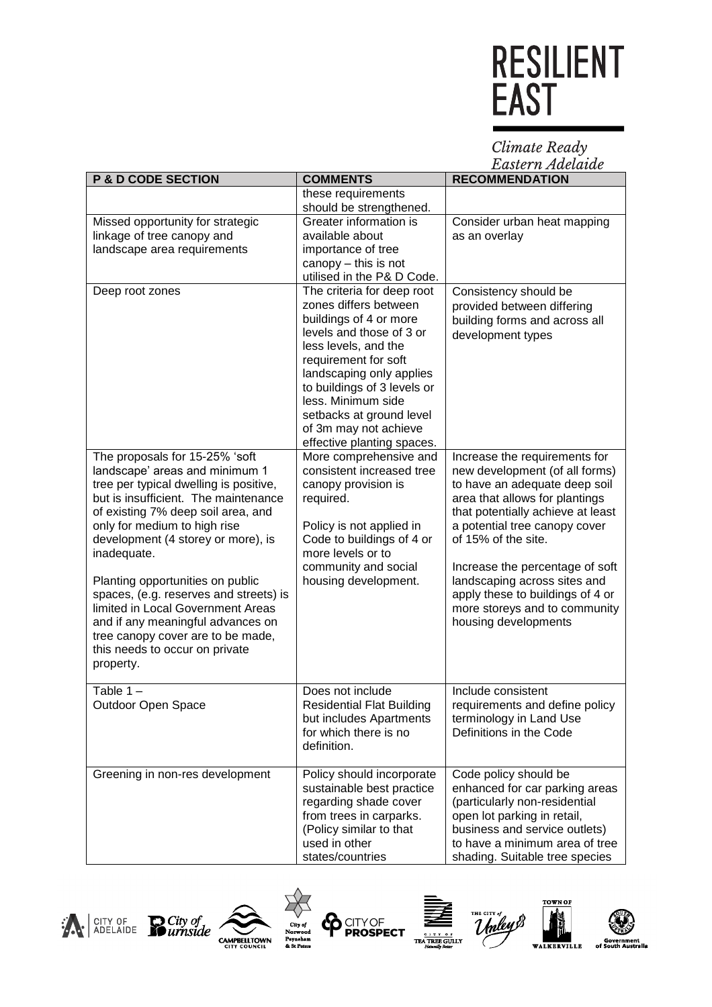Climate Ready<br>Eastern Adelaide

| <b>P &amp; D CODE SECTION</b>                                                                                                                                                                                                                                                                                                                                                                                                                                                                                             | <b>COMMENTS</b>                                                                                                                                                                                                                                                                                                                                                                                | Lawuri iv ziwchwanc<br><b>RECOMMENDATION</b>                                                                                                                                                                                                                                                                                                                                                    |
|---------------------------------------------------------------------------------------------------------------------------------------------------------------------------------------------------------------------------------------------------------------------------------------------------------------------------------------------------------------------------------------------------------------------------------------------------------------------------------------------------------------------------|------------------------------------------------------------------------------------------------------------------------------------------------------------------------------------------------------------------------------------------------------------------------------------------------------------------------------------------------------------------------------------------------|-------------------------------------------------------------------------------------------------------------------------------------------------------------------------------------------------------------------------------------------------------------------------------------------------------------------------------------------------------------------------------------------------|
|                                                                                                                                                                                                                                                                                                                                                                                                                                                                                                                           | these requirements                                                                                                                                                                                                                                                                                                                                                                             |                                                                                                                                                                                                                                                                                                                                                                                                 |
| Missed opportunity for strategic<br>linkage of tree canopy and<br>landscape area requirements<br>Deep root zones                                                                                                                                                                                                                                                                                                                                                                                                          | should be strengthened.<br>Greater information is<br>available about<br>importance of tree<br>canopy - this is not<br>utilised in the P& D Code.<br>The criteria for deep root<br>zones differs between<br>buildings of 4 or more<br>levels and those of 3 or<br>less levels, and the<br>requirement for soft<br>landscaping only applies<br>to buildings of 3 levels or<br>less. Minimum side | Consider urban heat mapping<br>as an overlay<br>Consistency should be<br>provided between differing<br>building forms and across all<br>development types                                                                                                                                                                                                                                       |
|                                                                                                                                                                                                                                                                                                                                                                                                                                                                                                                           | setbacks at ground level<br>of 3m may not achieve<br>effective planting spaces.                                                                                                                                                                                                                                                                                                                |                                                                                                                                                                                                                                                                                                                                                                                                 |
| The proposals for 15-25% 'soft<br>landscape' areas and minimum 1<br>tree per typical dwelling is positive,<br>but is insufficient. The maintenance<br>of existing 7% deep soil area, and<br>only for medium to high rise<br>development (4 storey or more), is<br>inadequate.<br>Planting opportunities on public<br>spaces, (e.g. reserves and streets) is<br>limited in Local Government Areas<br>and if any meaningful advances on<br>tree canopy cover are to be made,<br>this needs to occur on private<br>property. | More comprehensive and<br>consistent increased tree<br>canopy provision is<br>required.<br>Policy is not applied in<br>Code to buildings of 4 or<br>more levels or to<br>community and social<br>housing development.                                                                                                                                                                          | Increase the requirements for<br>new development (of all forms)<br>to have an adequate deep soil<br>area that allows for plantings<br>that potentially achieve at least<br>a potential tree canopy cover<br>of 15% of the site.<br>Increase the percentage of soft<br>landscaping across sites and<br>apply these to buildings of 4 or<br>more storeys and to community<br>housing developments |
| Table $1 -$<br>Outdoor Open Space                                                                                                                                                                                                                                                                                                                                                                                                                                                                                         | Does not include<br><b>Residential Flat Building</b><br>but includes Apartments<br>for which there is no<br>definition.                                                                                                                                                                                                                                                                        | Include consistent<br>requirements and define policy<br>terminology in Land Use<br>Definitions in the Code                                                                                                                                                                                                                                                                                      |
| Greening in non-res development                                                                                                                                                                                                                                                                                                                                                                                                                                                                                           | Policy should incorporate<br>sustainable best practice<br>regarding shade cover<br>from trees in carparks.<br>(Policy similar to that<br>used in other<br>states/countries                                                                                                                                                                                                                     | Code policy should be<br>enhanced for car parking areas<br>(particularly non-residential<br>open lot parking in retail,<br>business and service outlets)<br>to have a minimum area of tree<br>shading. Suitable tree species                                                                                                                                                                    |















**World**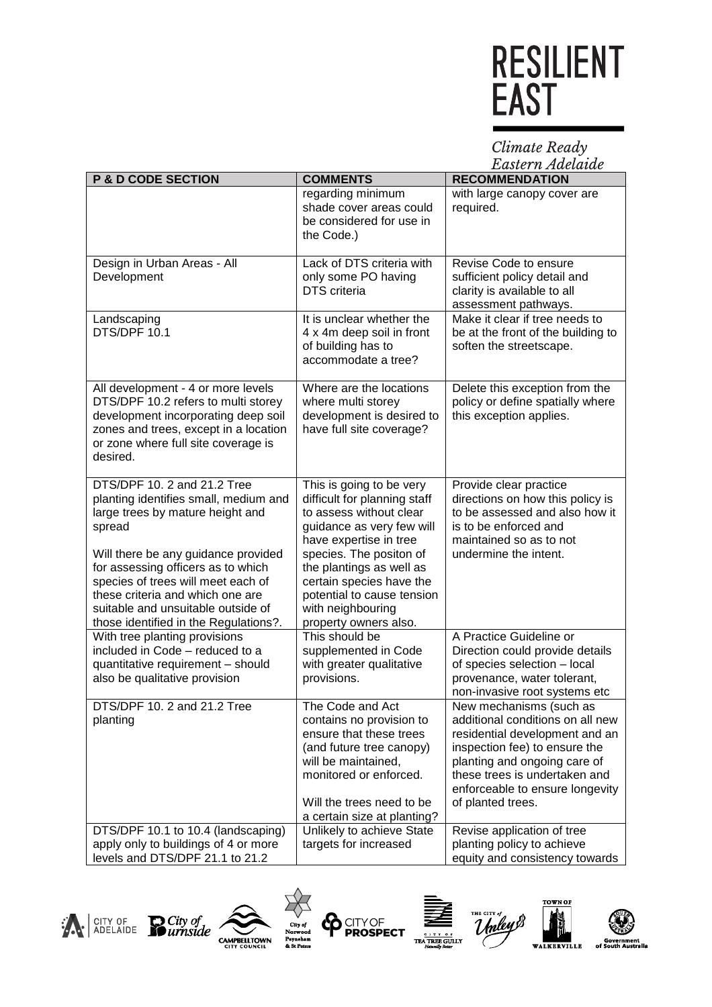Climate Ready<br>Eastern Adelaide

| <b>P &amp; D CODE SECTION</b>                                                                                                                                                                                                                                                                                                                            | <b>COMMENTS</b>                                                                                                                                                                                                                                                                                           | 23 april 17 21 de central d<br><b>RECOMMENDATION</b>                                                                                                                                                                                                    |
|----------------------------------------------------------------------------------------------------------------------------------------------------------------------------------------------------------------------------------------------------------------------------------------------------------------------------------------------------------|-----------------------------------------------------------------------------------------------------------------------------------------------------------------------------------------------------------------------------------------------------------------------------------------------------------|---------------------------------------------------------------------------------------------------------------------------------------------------------------------------------------------------------------------------------------------------------|
|                                                                                                                                                                                                                                                                                                                                                          | regarding minimum<br>shade cover areas could<br>be considered for use in<br>the Code.)                                                                                                                                                                                                                    | with large canopy cover are<br>required.                                                                                                                                                                                                                |
| Design in Urban Areas - All<br>Development                                                                                                                                                                                                                                                                                                               | Lack of DTS criteria with<br>only some PO having<br><b>DTS</b> criteria                                                                                                                                                                                                                                   | Revise Code to ensure<br>sufficient policy detail and<br>clarity is available to all<br>assessment pathways.                                                                                                                                            |
| Landscaping<br>DTS/DPF 10.1                                                                                                                                                                                                                                                                                                                              | It is unclear whether the<br>4 x 4m deep soil in front<br>of building has to<br>accommodate a tree?                                                                                                                                                                                                       | Make it clear if tree needs to<br>be at the front of the building to<br>soften the streetscape.                                                                                                                                                         |
| All development - 4 or more levels<br>DTS/DPF 10.2 refers to multi storey<br>development incorporating deep soil<br>zones and trees, except in a location<br>or zone where full site coverage is<br>desired.                                                                                                                                             | Where are the locations<br>where multi storey<br>development is desired to<br>have full site coverage?                                                                                                                                                                                                    | Delete this exception from the<br>policy or define spatially where<br>this exception applies.                                                                                                                                                           |
| DTS/DPF 10. 2 and 21.2 Tree<br>planting identifies small, medium and<br>large trees by mature height and<br>spread<br>Will there be any guidance provided<br>for assessing officers as to which<br>species of trees will meet each of<br>these criteria and which one are<br>suitable and unsuitable outside of<br>those identified in the Regulations?. | This is going to be very<br>difficult for planning staff<br>to assess without clear<br>guidance as very few will<br>have expertise in tree<br>species. The positon of<br>the plantings as well as<br>certain species have the<br>potential to cause tension<br>with neighbouring<br>property owners also. | Provide clear practice<br>directions on how this policy is<br>to be assessed and also how it<br>is to be enforced and<br>maintained so as to not<br>undermine the intent.                                                                               |
| With tree planting provisions<br>included in Code - reduced to a<br>quantitative requirement - should<br>also be qualitative provision                                                                                                                                                                                                                   | This should be<br>supplemented in Code<br>with greater qualitative<br>provisions.                                                                                                                                                                                                                         | A Practice Guideline or<br>Direction could provide details<br>of species selection - local<br>provenance, water tolerant,<br>non-invasive root systems etc                                                                                              |
| DTS/DPF 10. 2 and 21.2 Tree<br>planting                                                                                                                                                                                                                                                                                                                  | The Code and Act<br>contains no provision to<br>ensure that these trees<br>(and future tree canopy)<br>will be maintained,<br>monitored or enforced.<br>Will the trees need to be<br>a certain size at planting?                                                                                          | New mechanisms (such as<br>additional conditions on all new<br>residential development and an<br>inspection fee) to ensure the<br>planting and ongoing care of<br>these trees is undertaken and<br>enforceable to ensure longevity<br>of planted trees. |
| DTS/DPF 10.1 to 10.4 (landscaping)<br>apply only to buildings of 4 or more<br>levels and DTS/DPF 21.1 to 21.2                                                                                                                                                                                                                                            | Unlikely to achieve State<br>targets for increased                                                                                                                                                                                                                                                        | Revise application of tree<br>planting policy to achieve<br>equity and consistency towards                                                                                                                                                              |













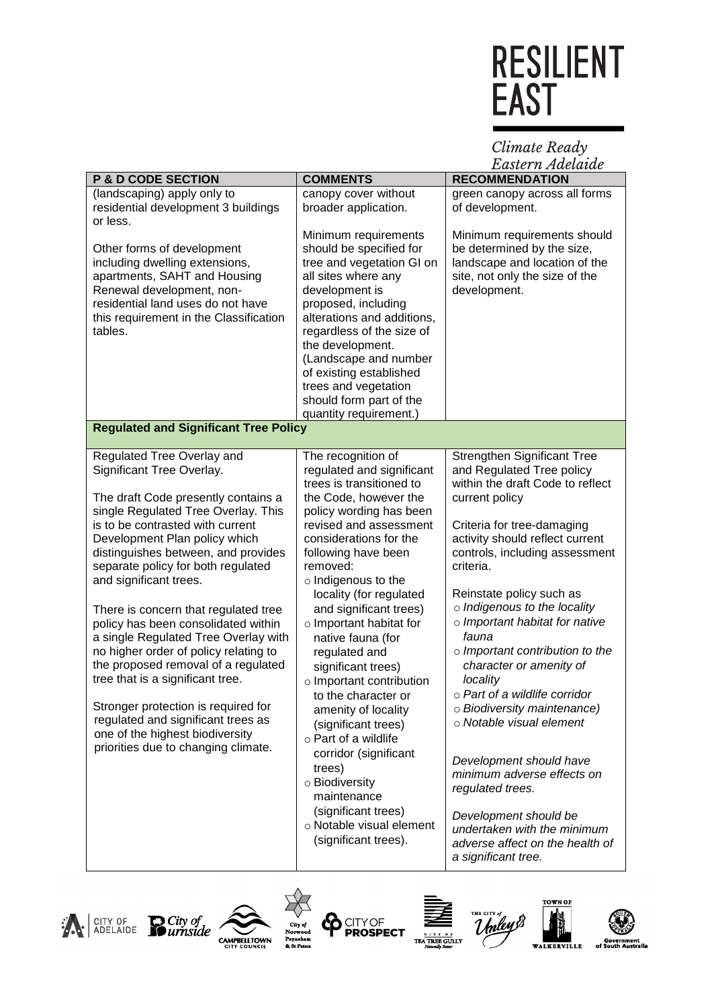Climate Ready<br>Eastern Adelaide

|                                                                                                                                                                                                                                                                                                                                                                                                                                                                                                                                                                                                                                                |                                                                                                                                                                                                                                                                                                                                                                                                                                                                                                    | пизиет п ниешние                                                                                                                                                                                                                                                                                                                                                                                                                                                                   |
|------------------------------------------------------------------------------------------------------------------------------------------------------------------------------------------------------------------------------------------------------------------------------------------------------------------------------------------------------------------------------------------------------------------------------------------------------------------------------------------------------------------------------------------------------------------------------------------------------------------------------------------------|----------------------------------------------------------------------------------------------------------------------------------------------------------------------------------------------------------------------------------------------------------------------------------------------------------------------------------------------------------------------------------------------------------------------------------------------------------------------------------------------------|------------------------------------------------------------------------------------------------------------------------------------------------------------------------------------------------------------------------------------------------------------------------------------------------------------------------------------------------------------------------------------------------------------------------------------------------------------------------------------|
| <b>P &amp; D CODE SECTION</b>                                                                                                                                                                                                                                                                                                                                                                                                                                                                                                                                                                                                                  | <b>COMMENTS</b>                                                                                                                                                                                                                                                                                                                                                                                                                                                                                    | <b>RECOMMENDATION</b>                                                                                                                                                                                                                                                                                                                                                                                                                                                              |
| (landscaping) apply only to<br>residential development 3 buildings<br>or less.                                                                                                                                                                                                                                                                                                                                                                                                                                                                                                                                                                 | canopy cover without<br>broader application.                                                                                                                                                                                                                                                                                                                                                                                                                                                       | green canopy across all forms<br>of development.                                                                                                                                                                                                                                                                                                                                                                                                                                   |
| Other forms of development<br>including dwelling extensions,<br>apartments, SAHT and Housing<br>Renewal development, non-<br>residential land uses do not have<br>this requirement in the Classification<br>tables.                                                                                                                                                                                                                                                                                                                                                                                                                            | Minimum requirements<br>should be specified for<br>tree and vegetation GI on<br>all sites where any<br>development is<br>proposed, including<br>alterations and additions,<br>regardless of the size of<br>the development.<br>(Landscape and number<br>of existing established<br>trees and vegetation<br>should form part of the<br>quantity requirement.)                                                                                                                                       | Minimum requirements should<br>be determined by the size,<br>landscape and location of the<br>site, not only the size of the<br>development.                                                                                                                                                                                                                                                                                                                                       |
| <b>Regulated and Significant Tree Policy</b>                                                                                                                                                                                                                                                                                                                                                                                                                                                                                                                                                                                                   |                                                                                                                                                                                                                                                                                                                                                                                                                                                                                                    |                                                                                                                                                                                                                                                                                                                                                                                                                                                                                    |
| Regulated Tree Overlay and                                                                                                                                                                                                                                                                                                                                                                                                                                                                                                                                                                                                                     | The recognition of                                                                                                                                                                                                                                                                                                                                                                                                                                                                                 | <b>Strengthen Significant Tree</b>                                                                                                                                                                                                                                                                                                                                                                                                                                                 |
| Significant Tree Overlay.<br>The draft Code presently contains a<br>single Regulated Tree Overlay. This<br>is to be contrasted with current<br>Development Plan policy which<br>distinguishes between, and provides<br>separate policy for both regulated<br>and significant trees.<br>There is concern that regulated tree<br>policy has been consolidated within<br>a single Regulated Tree Overlay with<br>no higher order of policy relating to<br>the proposed removal of a regulated<br>tree that is a significant tree.<br>Stronger protection is required for<br>regulated and significant trees as<br>one of the highest biodiversity | regulated and significant<br>trees is transitioned to<br>the Code, however the<br>policy wording has been<br>revised and assessment<br>considerations for the<br>following have been<br>removed:<br>o Indigenous to the<br>locality (for regulated<br>and significant trees)<br>o Important habitat for<br>native fauna (for<br>regulated and<br>significant trees)<br>$\circ$ Important contribution<br>to the character or<br>amenity of locality<br>(significant trees)<br>o Part of a wildlife | and Regulated Tree policy<br>within the draft Code to reflect<br>current policy<br>Criteria for tree-damaging<br>activity should reflect current<br>controls, including assessment<br>criteria.<br>Reinstate policy such as<br>o Indigenous to the locality<br>o Important habitat for native<br>fauna<br>$\circ$ Important contribution to the<br>character or amenity of<br>locality<br>o Part of a wildlife corridor<br>o Biodiversity maintenance)<br>o Notable visual element |
| priorities due to changing climate.                                                                                                                                                                                                                                                                                                                                                                                                                                                                                                                                                                                                            | corridor (significant<br>trees)<br>o Biodiversity<br>maintenance<br>(significant trees)<br>o Notable visual element<br>(significant trees).                                                                                                                                                                                                                                                                                                                                                        | Development should have<br>minimum adverse effects on<br>regulated trees.<br>Development should be<br>undertaken with the minimum<br>adverse affect on the health of<br>a significant tree.                                                                                                                                                                                                                                                                                        |















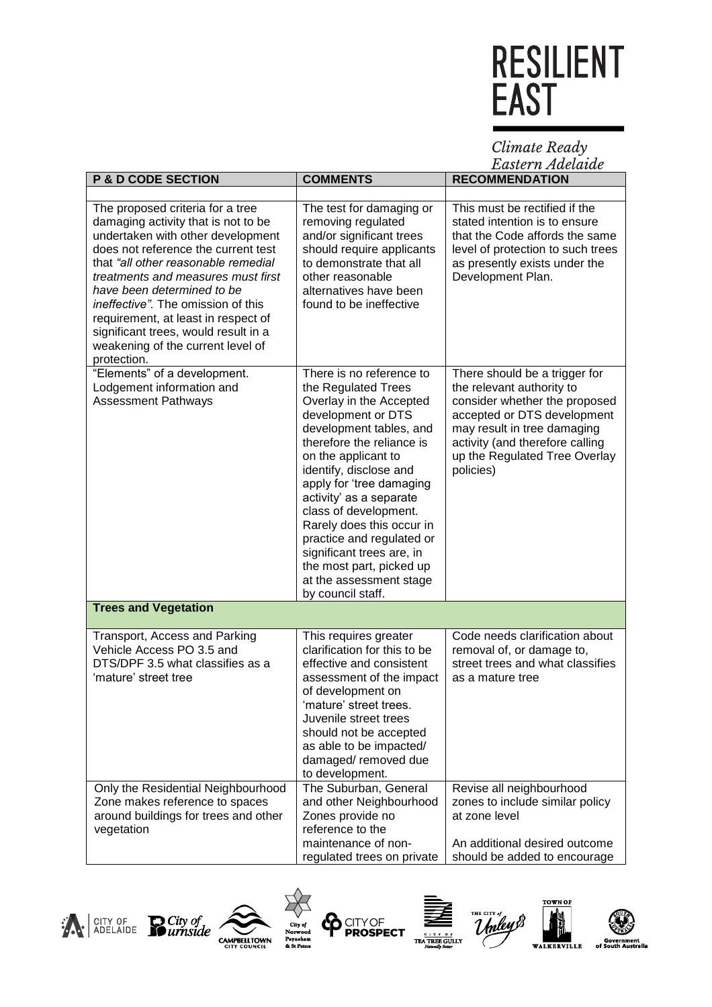Climate Ready<br>Eastern Adelaide

| <b>P &amp; D CODE SECTION</b>                                                                                                                                                                                                                                                                                                                                                                                                           | <b>COMMENTS</b>                                                                                                                                                                                                                                                                                                                                                                                                                                              | <b>RECOMMENDATION</b>                                                                                                                                                                                                                      |
|-----------------------------------------------------------------------------------------------------------------------------------------------------------------------------------------------------------------------------------------------------------------------------------------------------------------------------------------------------------------------------------------------------------------------------------------|--------------------------------------------------------------------------------------------------------------------------------------------------------------------------------------------------------------------------------------------------------------------------------------------------------------------------------------------------------------------------------------------------------------------------------------------------------------|--------------------------------------------------------------------------------------------------------------------------------------------------------------------------------------------------------------------------------------------|
|                                                                                                                                                                                                                                                                                                                                                                                                                                         |                                                                                                                                                                                                                                                                                                                                                                                                                                                              |                                                                                                                                                                                                                                            |
| The proposed criteria for a tree<br>damaging activity that is not to be<br>undertaken with other development<br>does not reference the current test<br>that "all other reasonable remedial<br>treatments and measures must first<br>have been determined to be<br>ineffective". The omission of this<br>requirement, at least in respect of<br>significant trees, would result in a<br>weakening of the current level of<br>protection. | The test for damaging or<br>removing regulated<br>and/or significant trees<br>should require applicants<br>to demonstrate that all<br>other reasonable<br>alternatives have been<br>found to be ineffective                                                                                                                                                                                                                                                  | This must be rectified if the<br>stated intention is to ensure<br>that the Code affords the same<br>level of protection to such trees<br>as presently exists under the<br>Development Plan.                                                |
| "Elements" of a development.<br>Lodgement information and<br><b>Assessment Pathways</b>                                                                                                                                                                                                                                                                                                                                                 | There is no reference to<br>the Regulated Trees<br>Overlay in the Accepted<br>development or DTS<br>development tables, and<br>therefore the reliance is<br>on the applicant to<br>identify, disclose and<br>apply for 'tree damaging<br>activity' as a separate<br>class of development.<br>Rarely does this occur in<br>practice and regulated or<br>significant trees are, in<br>the most part, picked up<br>at the assessment stage<br>by council staff. | There should be a trigger for<br>the relevant authority to<br>consider whether the proposed<br>accepted or DTS development<br>may result in tree damaging<br>activity (and therefore calling<br>up the Regulated Tree Overlay<br>policies) |
| <b>Trees and Vegetation</b>                                                                                                                                                                                                                                                                                                                                                                                                             |                                                                                                                                                                                                                                                                                                                                                                                                                                                              |                                                                                                                                                                                                                                            |
| Transport, Access and Parking<br>Vehicle Access PO 3.5 and<br>DTS/DPF 3.5 what classifies as a<br>'mature' street tree<br>Only the Residential Neighbourhood<br>Zone makes reference to spaces                                                                                                                                                                                                                                          | This requires greater<br>clarification for this to be<br>effective and consistent<br>assessment of the impact<br>of development on<br>'mature' street trees<br>Juvenile street trees<br>should not be accepted<br>as able to be impacted/<br>damaged/removed due<br>to development.<br>The Suburban, General<br>and other Neighbourhood                                                                                                                      | Code needs clarification about<br>removal of, or damage to,<br>street trees and what classifies<br>as a mature tree<br>Revise all neighbourhood<br>zones to include similar policy                                                         |
| around buildings for trees and other<br>vegetation                                                                                                                                                                                                                                                                                                                                                                                      | Zones provide no<br>reference to the<br>maintenance of non-<br>regulated trees on private                                                                                                                                                                                                                                                                                                                                                                    | at zone level<br>An additional desired outcome<br>should be added to encourage                                                                                                                                                             |













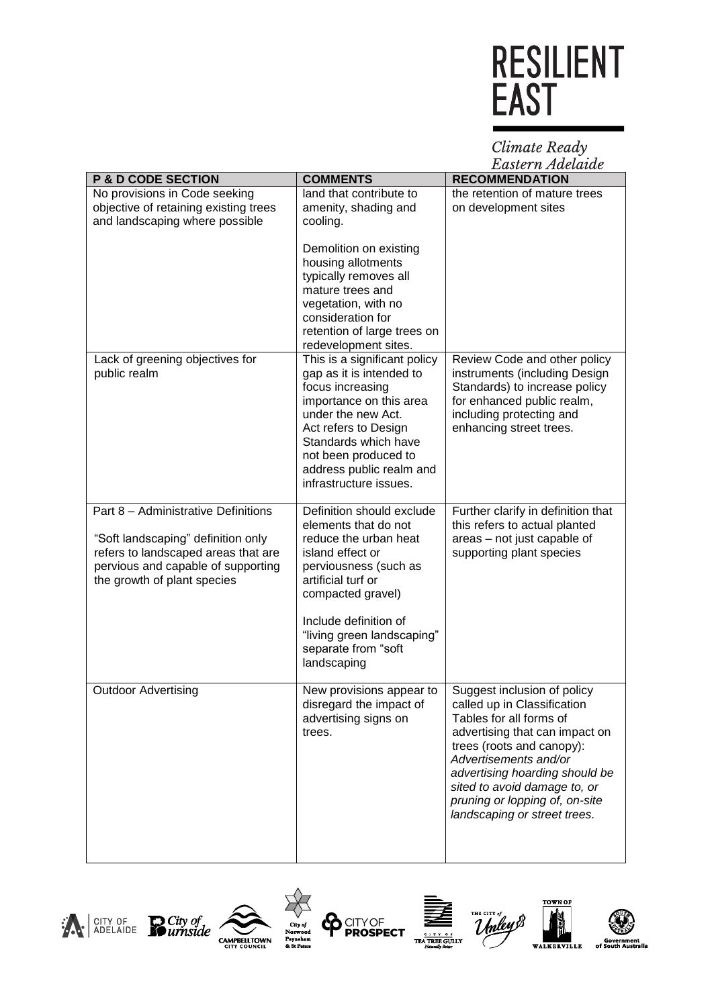Climate Ready<br>Eastern Adelaide

| <b>P &amp; D CODE SECTION</b>                                                                                                                                                         | <b>COMMENTS</b>                                                                                                                                                                                                                                                 | Lasici <i>n zw</i> eianic<br><b>RECOMMENDATION</b>                                                                                                                                                                                                                                                                |
|---------------------------------------------------------------------------------------------------------------------------------------------------------------------------------------|-----------------------------------------------------------------------------------------------------------------------------------------------------------------------------------------------------------------------------------------------------------------|-------------------------------------------------------------------------------------------------------------------------------------------------------------------------------------------------------------------------------------------------------------------------------------------------------------------|
| No provisions in Code seeking<br>objective of retaining existing trees<br>and landscaping where possible                                                                              | land that contribute to<br>amenity, shading and<br>cooling.                                                                                                                                                                                                     | the retention of mature trees<br>on development sites                                                                                                                                                                                                                                                             |
|                                                                                                                                                                                       | Demolition on existing<br>housing allotments<br>typically removes all<br>mature trees and<br>vegetation, with no<br>consideration for<br>retention of large trees on<br>redevelopment sites.                                                                    |                                                                                                                                                                                                                                                                                                                   |
| Lack of greening objectives for<br>public realm                                                                                                                                       | This is a significant policy<br>gap as it is intended to<br>focus increasing<br>importance on this area<br>under the new Act.<br>Act refers to Design<br>Standards which have<br>not been produced to<br>address public realm and<br>infrastructure issues.     | Review Code and other policy<br>instruments (including Design<br>Standards) to increase policy<br>for enhanced public realm,<br>including protecting and<br>enhancing street trees.                                                                                                                               |
| Part 8 - Administrative Definitions<br>"Soft landscaping" definition only<br>refers to landscaped areas that are<br>pervious and capable of supporting<br>the growth of plant species | Definition should exclude<br>elements that do not<br>reduce the urban heat<br>island effect or<br>perviousness (such as<br>artificial turf or<br>compacted gravel)<br>Include definition of<br>"living green landscaping"<br>separate from "soft<br>landscaping | Further clarify in definition that<br>this refers to actual planted<br>areas - not just capable of<br>supporting plant species                                                                                                                                                                                    |
| <b>Outdoor Advertising</b>                                                                                                                                                            | New provisions appear to<br>disregard the impact of<br>advertising signs on<br>trees.                                                                                                                                                                           | Suggest inclusion of policy<br>called up in Classification<br>Tables for all forms of<br>advertising that can impact on<br>trees (roots and canopy):<br>Advertisements and/or<br>advertising hoarding should be<br>sited to avoid damage to, or<br>pruning or lopping of, on-site<br>landscaping or street trees. |















**ADIE** 

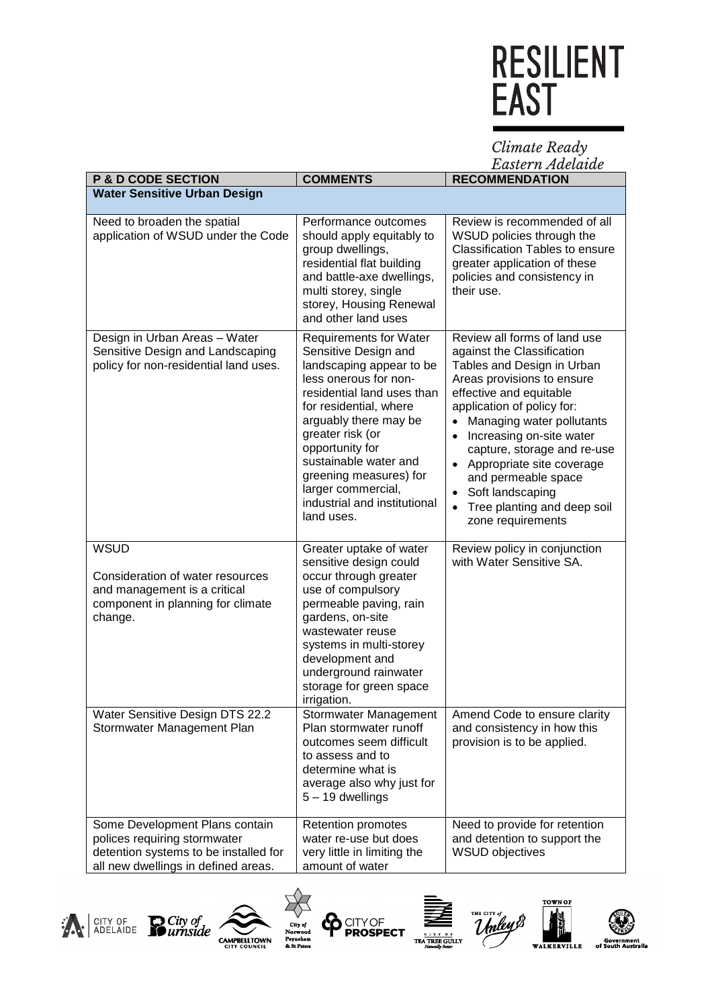Climate Ready<br>Eastern Adelaide

| <b>P &amp; D CODE SECTION</b>                                                                                                                  | <b>COMMENTS</b>                                                                                                                                                                                                                                                                                                                                           | <b>RECOMMENDATION</b>                                                                                                                                                                                                                                                                                                                                                                               |
|------------------------------------------------------------------------------------------------------------------------------------------------|-----------------------------------------------------------------------------------------------------------------------------------------------------------------------------------------------------------------------------------------------------------------------------------------------------------------------------------------------------------|-----------------------------------------------------------------------------------------------------------------------------------------------------------------------------------------------------------------------------------------------------------------------------------------------------------------------------------------------------------------------------------------------------|
| <b>Water Sensitive Urban Design</b>                                                                                                            |                                                                                                                                                                                                                                                                                                                                                           |                                                                                                                                                                                                                                                                                                                                                                                                     |
| Need to broaden the spatial<br>application of WSUD under the Code                                                                              | Performance outcomes<br>should apply equitably to<br>group dwellings,<br>residential flat building<br>and battle-axe dwellings,<br>multi storey, single<br>storey, Housing Renewal<br>and other land uses                                                                                                                                                 | Review is recommended of all<br>WSUD policies through the<br><b>Classification Tables to ensure</b><br>greater application of these<br>policies and consistency in<br>their use.                                                                                                                                                                                                                    |
| Design in Urban Areas - Water<br>Sensitive Design and Landscaping<br>policy for non-residential land uses.                                     | <b>Requirements for Water</b><br>Sensitive Design and<br>landscaping appear to be<br>less onerous for non-<br>residential land uses than<br>for residential, where<br>arguably there may be<br>greater risk (or<br>opportunity for<br>sustainable water and<br>greening measures) for<br>larger commercial,<br>industrial and institutional<br>land uses. | Review all forms of land use<br>against the Classification<br>Tables and Design in Urban<br>Areas provisions to ensure<br>effective and equitable<br>application of policy for:<br>Managing water pollutants<br>Increasing on-site water<br>capture, storage and re-use<br>Appropriate site coverage<br>and permeable space<br>Soft landscaping<br>Tree planting and deep soil<br>zone requirements |
| <b>WSUD</b><br>Consideration of water resources<br>and management is a critical<br>component in planning for climate<br>change.                | Greater uptake of water<br>sensitive design could<br>occur through greater<br>use of compulsory<br>permeable paving, rain<br>gardens, on-site<br>wastewater reuse<br>systems in multi-storey<br>development and<br>underground rainwater<br>storage for green space<br>irrigation.                                                                        | Review policy in conjunction<br>with Water Sensitive SA.                                                                                                                                                                                                                                                                                                                                            |
| Water Sensitive Design DTS 22.2<br>Stormwater Management Plan                                                                                  | Stormwater Management<br>Plan stormwater runoff<br>outcomes seem difficult<br>to assess and to<br>determine what is<br>average also why just for<br>5 - 19 dwellings                                                                                                                                                                                      | Amend Code to ensure clarity<br>and consistency in how this<br>provision is to be applied.                                                                                                                                                                                                                                                                                                          |
| Some Development Plans contain<br>polices requiring stormwater<br>detention systems to be installed for<br>all new dwellings in defined areas. | Retention promotes<br>water re-use but does<br>very little in limiting the<br>amount of water                                                                                                                                                                                                                                                             | Need to provide for retention<br>and detention to support the<br><b>WSUD objectives</b>                                                                                                                                                                                                                                                                                                             |





 $\frac{1}{\sqrt{2}}$ City of<br>Norwood<br>Payneham<br>& St Peters







**World** 

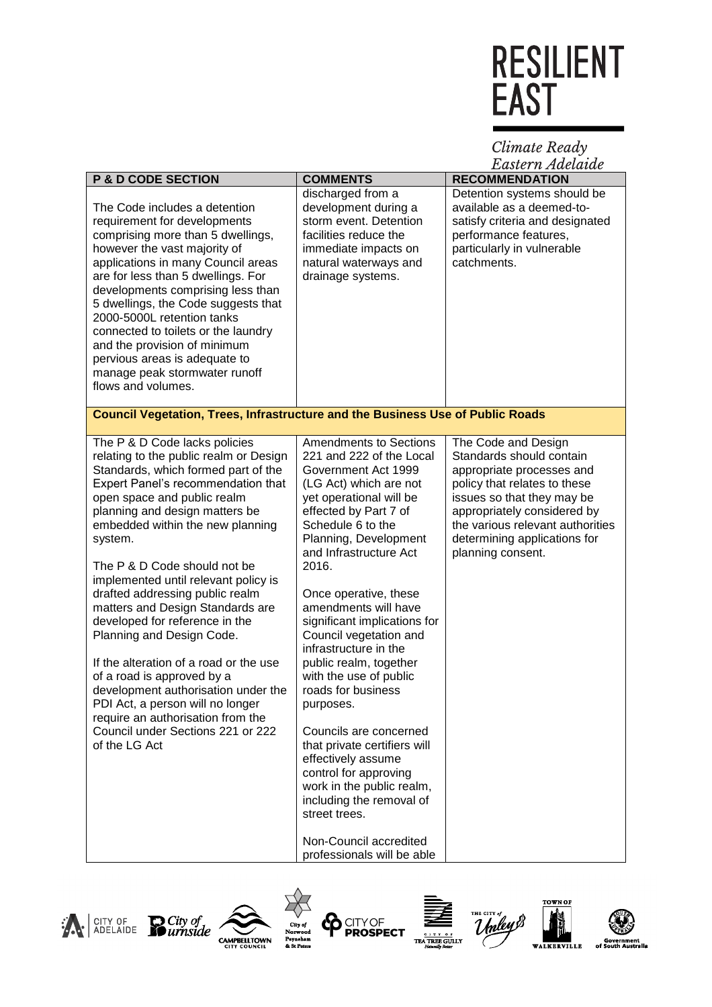Climate Ready<br>Eastern Adelaide

| <b>P &amp; D CODE SECTION</b>                                                         | <b>COMMENTS</b>                                      | Lasier il Auelaiue<br><b>RECOMMENDATION</b> |
|---------------------------------------------------------------------------------------|------------------------------------------------------|---------------------------------------------|
|                                                                                       |                                                      |                                             |
|                                                                                       | discharged from a                                    | Detention systems should be                 |
| The Code includes a detention                                                         | development during a                                 | available as a deemed-to-                   |
| requirement for developments                                                          | storm event. Detention                               | satisfy criteria and designated             |
| comprising more than 5 dwellings,                                                     | facilities reduce the                                | performance features,                       |
| however the vast majority of                                                          | immediate impacts on                                 | particularly in vulnerable                  |
| applications in many Council areas                                                    | natural waterways and                                | catchments.                                 |
| are for less than 5 dwellings. For                                                    | drainage systems.                                    |                                             |
| developments comprising less than                                                     |                                                      |                                             |
| 5 dwellings, the Code suggests that                                                   |                                                      |                                             |
| 2000-5000L retention tanks                                                            |                                                      |                                             |
| connected to toilets or the laundry                                                   |                                                      |                                             |
| and the provision of minimum                                                          |                                                      |                                             |
| pervious areas is adequate to                                                         |                                                      |                                             |
| manage peak stormwater runoff                                                         |                                                      |                                             |
| flows and volumes.                                                                    |                                                      |                                             |
|                                                                                       |                                                      |                                             |
| <b>Council Vegetation, Trees, Infrastructure and the Business Use of Public Roads</b> |                                                      |                                             |
|                                                                                       |                                                      |                                             |
| The P & D Code lacks policies                                                         | <b>Amendments to Sections</b>                        | The Code and Design                         |
| relating to the public realm or Design                                                | 221 and 222 of the Local                             | Standards should contain                    |
| Standards, which formed part of the                                                   | Government Act 1999                                  | appropriate processes and                   |
| Expert Panel's recommendation that                                                    | (LG Act) which are not                               | policy that relates to these                |
| open space and public realm                                                           | yet operational will be                              | issues so that they may be                  |
| planning and design matters be                                                        | effected by Part 7 of                                | appropriately considered by                 |
| embedded within the new planning                                                      | Schedule 6 to the                                    | the various relevant authorities            |
| system.                                                                               | Planning, Development                                | determining applications for                |
|                                                                                       | and Infrastructure Act                               | planning consent.                           |
| The P & D Code should not be                                                          | 2016.                                                |                                             |
| implemented until relevant policy is                                                  |                                                      |                                             |
| drafted addressing public realm                                                       | Once operative, these                                |                                             |
| matters and Design Standards are                                                      | amendments will have                                 |                                             |
| developed for reference in the                                                        | significant implications for                         |                                             |
| Planning and Design Code.                                                             | Council vegetation and                               |                                             |
|                                                                                       | infrastructure in the                                |                                             |
| If the alteration of a road or the use                                                | public realm, together                               |                                             |
|                                                                                       |                                                      |                                             |
| of a road is approved by a                                                            | with the use of public                               |                                             |
| development authorisation under the                                                   | roads for business                                   |                                             |
| PDI Act, a person will no longer                                                      | purposes.                                            |                                             |
| require an authorisation from the                                                     |                                                      |                                             |
| Council under Sections 221 or 222                                                     | Councils are concerned                               |                                             |
| of the LG Act                                                                         | that private certifiers will                         |                                             |
|                                                                                       | effectively assume                                   |                                             |
|                                                                                       | control for approving                                |                                             |
|                                                                                       | work in the public realm,                            |                                             |
|                                                                                       | including the removal of                             |                                             |
|                                                                                       | street trees.                                        |                                             |
|                                                                                       |                                                      |                                             |
|                                                                                       | Non-Council accredited<br>professionals will be able |                                             |
|                                                                                       |                                                      |                                             |















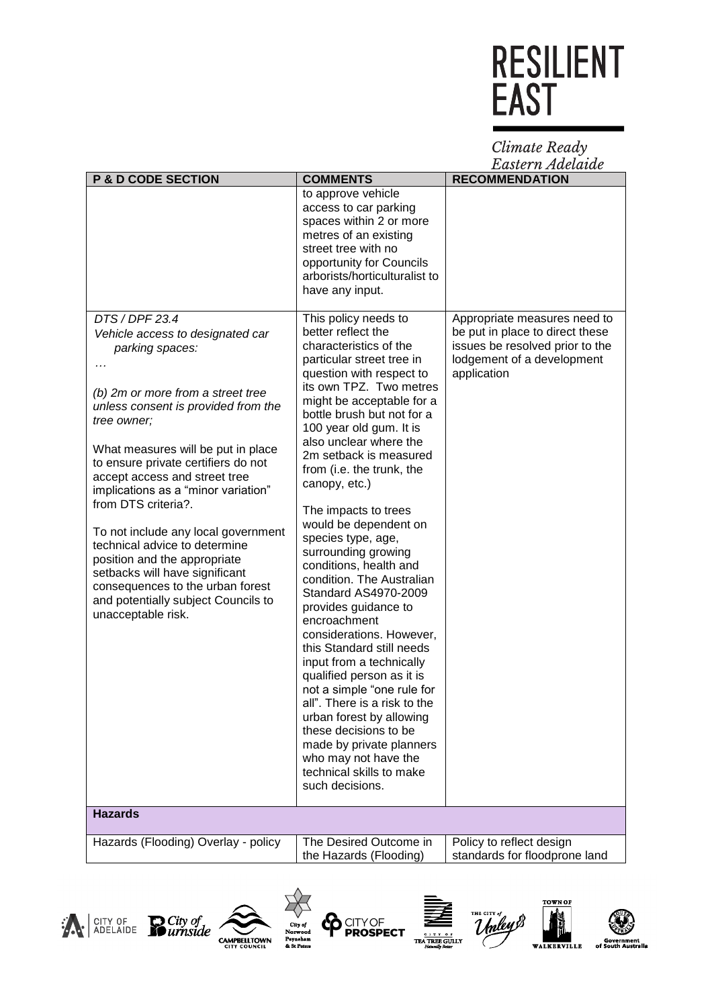Climate Ready<br>Eastern Adelaide

| <b>P &amp; D CODE SECTION</b>                                                                                                                                                                                                                                                                                                                                                                                                                                                                                                                                                           | <b>COMMENTS</b>                                                                                                                                                                                                                                                                                                                                                                                                                                                                                                                                                                                                                                                                                                                                                                                                                                                                                               | Lasier It Auetalue<br><b>RECOMMENDATION</b>                                                                                                     |
|-----------------------------------------------------------------------------------------------------------------------------------------------------------------------------------------------------------------------------------------------------------------------------------------------------------------------------------------------------------------------------------------------------------------------------------------------------------------------------------------------------------------------------------------------------------------------------------------|---------------------------------------------------------------------------------------------------------------------------------------------------------------------------------------------------------------------------------------------------------------------------------------------------------------------------------------------------------------------------------------------------------------------------------------------------------------------------------------------------------------------------------------------------------------------------------------------------------------------------------------------------------------------------------------------------------------------------------------------------------------------------------------------------------------------------------------------------------------------------------------------------------------|-------------------------------------------------------------------------------------------------------------------------------------------------|
|                                                                                                                                                                                                                                                                                                                                                                                                                                                                                                                                                                                         | to approve vehicle<br>access to car parking<br>spaces within 2 or more<br>metres of an existing<br>street tree with no<br>opportunity for Councils<br>arborists/horticulturalist to<br>have any input.                                                                                                                                                                                                                                                                                                                                                                                                                                                                                                                                                                                                                                                                                                        |                                                                                                                                                 |
| DTS / DPF 23.4<br>Vehicle access to designated car<br>parking spaces:<br>(b) 2m or more from a street tree<br>unless consent is provided from the<br>tree owner;<br>What measures will be put in place<br>to ensure private certifiers do not<br>accept access and street tree<br>implications as a "minor variation"<br>from DTS criteria?.<br>To not include any local government<br>technical advice to determine<br>position and the appropriate<br>setbacks will have significant<br>consequences to the urban forest<br>and potentially subject Councils to<br>unacceptable risk. | This policy needs to<br>better reflect the<br>characteristics of the<br>particular street tree in<br>question with respect to<br>its own TPZ. Two metres<br>might be acceptable for a<br>bottle brush but not for a<br>100 year old gum. It is<br>also unclear where the<br>2m setback is measured<br>from (i.e. the trunk, the<br>canopy, etc.)<br>The impacts to trees<br>would be dependent on<br>species type, age,<br>surrounding growing<br>conditions, health and<br>condition. The Australian<br>Standard AS4970-2009<br>provides guidance to<br>encroachment<br>considerations. However,<br>this Standard still needs<br>input from a technically<br>qualified person as it is<br>not a simple "one rule for<br>all". There is a risk to the<br>urban forest by allowing<br>these decisions to be<br>made by private planners<br>who may not have the<br>technical skills to make<br>such decisions. | Appropriate measures need to<br>be put in place to direct these<br>issues be resolved prior to the<br>lodgement of a development<br>application |
| <b>Hazards</b>                                                                                                                                                                                                                                                                                                                                                                                                                                                                                                                                                                          |                                                                                                                                                                                                                                                                                                                                                                                                                                                                                                                                                                                                                                                                                                                                                                                                                                                                                                               |                                                                                                                                                 |
| Hazards (Flooding) Overlay - policy                                                                                                                                                                                                                                                                                                                                                                                                                                                                                                                                                     | The Desired Outcome in<br>the Hazards (Flooding)                                                                                                                                                                                                                                                                                                                                                                                                                                                                                                                                                                                                                                                                                                                                                                                                                                                              | Policy to reflect design<br>standards for floodprone land                                                                                       |













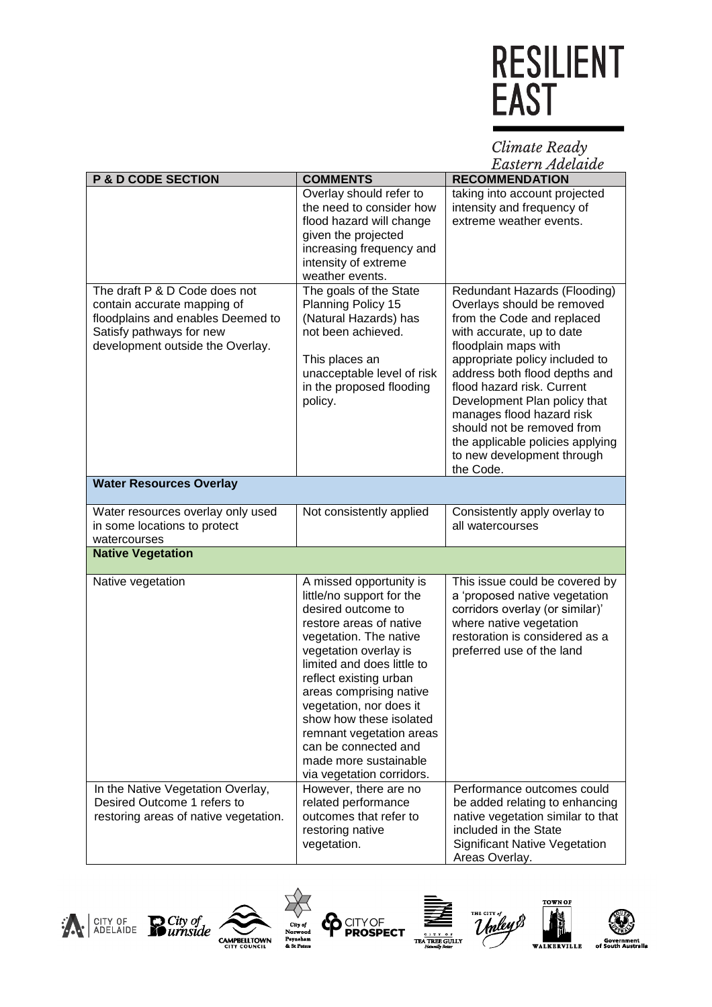Climate Ready<br>Eastern Adelaide

| <b>P &amp; D CODE SECTION</b>                                                                                                                                     | <b>COMMENTS</b>                                                                                                                                                                                                                                                                                                                                                                                             | Lasici il ziuciatac<br><b>RECOMMENDATION</b>                                                                                                                                                                                                                                                                                                                                                                             |
|-------------------------------------------------------------------------------------------------------------------------------------------------------------------|-------------------------------------------------------------------------------------------------------------------------------------------------------------------------------------------------------------------------------------------------------------------------------------------------------------------------------------------------------------------------------------------------------------|--------------------------------------------------------------------------------------------------------------------------------------------------------------------------------------------------------------------------------------------------------------------------------------------------------------------------------------------------------------------------------------------------------------------------|
|                                                                                                                                                                   | Overlay should refer to                                                                                                                                                                                                                                                                                                                                                                                     | taking into account projected                                                                                                                                                                                                                                                                                                                                                                                            |
|                                                                                                                                                                   | the need to consider how<br>flood hazard will change<br>given the projected<br>increasing frequency and<br>intensity of extreme                                                                                                                                                                                                                                                                             | intensity and frequency of<br>extreme weather events.                                                                                                                                                                                                                                                                                                                                                                    |
|                                                                                                                                                                   | weather events.                                                                                                                                                                                                                                                                                                                                                                                             |                                                                                                                                                                                                                                                                                                                                                                                                                          |
| The draft P & D Code does not<br>contain accurate mapping of<br>floodplains and enables Deemed to<br>Satisfy pathways for new<br>development outside the Overlay. | The goals of the State<br>Planning Policy 15<br>(Natural Hazards) has<br>not been achieved.<br>This places an<br>unacceptable level of risk<br>in the proposed flooding<br>policy.                                                                                                                                                                                                                          | Redundant Hazards (Flooding)<br>Overlays should be removed<br>from the Code and replaced<br>with accurate, up to date<br>floodplain maps with<br>appropriate policy included to<br>address both flood depths and<br>flood hazard risk. Current<br>Development Plan policy that<br>manages flood hazard risk<br>should not be removed from<br>the applicable policies applying<br>to new development through<br>the Code. |
| <b>Water Resources Overlay</b>                                                                                                                                    |                                                                                                                                                                                                                                                                                                                                                                                                             |                                                                                                                                                                                                                                                                                                                                                                                                                          |
| Water resources overlay only used<br>in some locations to protect<br>watercourses                                                                                 | Not consistently applied                                                                                                                                                                                                                                                                                                                                                                                    | Consistently apply overlay to<br>all watercourses                                                                                                                                                                                                                                                                                                                                                                        |
| <b>Native Vegetation</b>                                                                                                                                          |                                                                                                                                                                                                                                                                                                                                                                                                             |                                                                                                                                                                                                                                                                                                                                                                                                                          |
| Native vegetation                                                                                                                                                 | A missed opportunity is<br>little/no support for the<br>desired outcome to<br>restore areas of native<br>vegetation. The native<br>vegetation overlay is<br>limited and does little to<br>reflect existing urban<br>areas comprising native<br>vegetation, nor does it<br>show how these isolated<br>remnant vegetation areas<br>can be connected and<br>made more sustainable<br>via vegetation corridors. | This issue could be covered by<br>a 'proposed native vegetation<br>corridors overlay (or similar)'<br>where native vegetation<br>restoration is considered as a<br>preferred use of the land                                                                                                                                                                                                                             |
| In the Native Vegetation Overlay,<br>Desired Outcome 1 refers to<br>restoring areas of native vegetation.                                                         | However, there are no<br>related performance<br>outcomes that refer to<br>restoring native<br>vegetation.                                                                                                                                                                                                                                                                                                   | Performance outcomes could<br>be added relating to enhancing<br>native vegetation similar to that<br>included in the State<br><b>Significant Native Vegetation</b><br>Areas Overlay.                                                                                                                                                                                                                                     |











利品

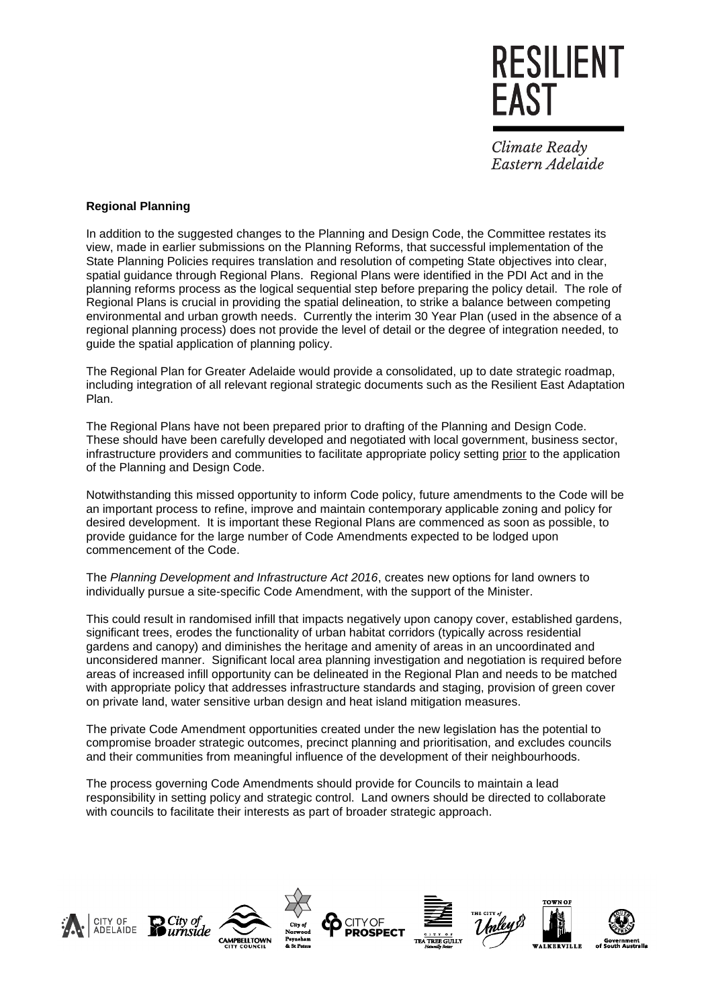

Climate Ready Eastern Adelaide

#### **Regional Planning**

In addition to the suggested changes to the Planning and Design Code, the Committee restates its view, made in earlier submissions on the Planning Reforms, that successful implementation of the State Planning Policies requires translation and resolution of competing State objectives into clear, spatial guidance through Regional Plans. Regional Plans were identified in the PDI Act and in the planning reforms process as the logical sequential step before preparing the policy detail. The role of Regional Plans is crucial in providing the spatial delineation, to strike a balance between competing environmental and urban growth needs. Currently the interim 30 Year Plan (used in the absence of a regional planning process) does not provide the level of detail or the degree of integration needed, to guide the spatial application of planning policy.

The Regional Plan for Greater Adelaide would provide a consolidated, up to date strategic roadmap, including integration of all relevant regional strategic documents such as the Resilient East Adaptation Plan.

The Regional Plans have not been prepared prior to drafting of the Planning and Design Code. These should have been carefully developed and negotiated with local government, business sector, infrastructure providers and communities to facilitate appropriate policy setting prior to the application of the Planning and Design Code.

Notwithstanding this missed opportunity to inform Code policy, future amendments to the Code will be an important process to refine, improve and maintain contemporary applicable zoning and policy for desired development. It is important these Regional Plans are commenced as soon as possible, to provide guidance for the large number of Code Amendments expected to be lodged upon commencement of the Code.

The *Planning Development and Infrastructure Act 2016*, creates new options for land owners to individually pursue a site-specific Code Amendment, with the support of the Minister.

This could result in randomised infill that impacts negatively upon canopy cover, established gardens, significant trees, erodes the functionality of urban habitat corridors (typically across residential gardens and canopy) and diminishes the heritage and amenity of areas in an uncoordinated and unconsidered manner. Significant local area planning investigation and negotiation is required before areas of increased infill opportunity can be delineated in the Regional Plan and needs to be matched with appropriate policy that addresses infrastructure standards and staging, provision of green cover on private land, water sensitive urban design and heat island mitigation measures.

The private Code Amendment opportunities created under the new legislation has the potential to compromise broader strategic outcomes, precinct planning and prioritisation, and excludes councils and their communities from meaningful influence of the development of their neighbourhoods.

The process governing Code Amendments should provide for Councils to maintain a lead responsibility in setting policy and strategic control. Land owners should be directed to collaborate with councils to facilitate their interests as part of broader strategic approach.